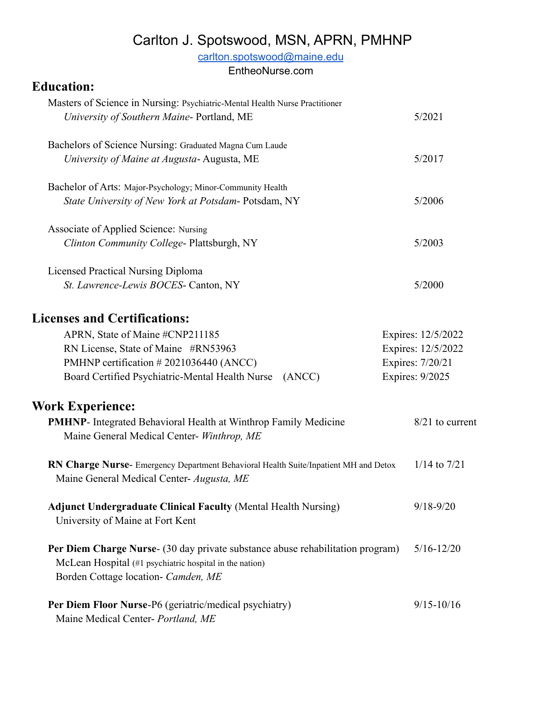# Carlton J. Spotswood, MSN, APRN, PMHNP

[carlton.spotswood@maine.edu](mailto:carlton.spotswood@maine.edu)

EntheoNurse.com

# **Education:**

| Masters of Science in Nursing: Psychiatric-Mental Health Nurse Practitioner<br>University of Southern Maine-Portland, ME | 5/2021             |
|--------------------------------------------------------------------------------------------------------------------------|--------------------|
| Bachelors of Science Nursing: Graduated Magna Cum Laude                                                                  |                    |
| University of Maine at Augusta-Augusta, ME                                                                               | 5/2017             |
| Bachelor of Arts: Major-Psychology; Minor-Community Health                                                               |                    |
| <i>State University of New York at Potsdam-Potsdam, NY</i>                                                               | 5/2006             |
| Associate of Applied Science: Nursing                                                                                    |                    |
| Clinton Community College-Plattsburgh, NY                                                                                | 5/2003             |
| <b>Licensed Practical Nursing Diploma</b>                                                                                |                    |
| St. Lawrence-Lewis BOCES- Canton, NY                                                                                     | 5/2000             |
| <b>Licenses and Certifications:</b>                                                                                      |                    |
| APRN, State of Maine #CNP211185                                                                                          | Expires: 12/5/2022 |
| RN License, State of Maine #RN53963                                                                                      | Expires: 12/5/2022 |
| PMHNP certification #2021036440 (ANCC)                                                                                   | Expires: 7/20/21   |
| Board Certified Psychiatric-Mental Health Nurse<br>(ANCC)                                                                | Expires: 9/2025    |
|                                                                                                                          |                    |

# **Work Experience:**

| <b>PMHNP-</b> Integrated Behavioral Health at Winthrop Family Medicine<br>Maine General Medical Center- Winthrop, ME                     | $8/21$ to current |
|------------------------------------------------------------------------------------------------------------------------------------------|-------------------|
| <b>RN Charge Nurse-</b> Emergency Department Behavioral Health Suite/Inpatient MH and Detox<br>Maine General Medical Center- Augusta, ME | $1/14$ to $7/21$  |
| <b>Adjunct Undergraduate Clinical Faculty (Mental Health Nursing)</b><br>University of Maine at Fort Kent                                | $9/18 - 9/20$     |
| Per Diem Charge Nurse- (30 day private substance abuse rehabilitation program)                                                           | $5/16 - 12/20$    |

McLean Hospital (#1 psychiatric hospital in the nation) Borden Cottage location- *Camden, ME*

| <b>Per Diem Floor Nurse-P6 (geriatric/medical psychiatry)</b> | $9/15 - 10/16$ |
|---------------------------------------------------------------|----------------|
| Maine Medical Center- Portland, ME                            |                |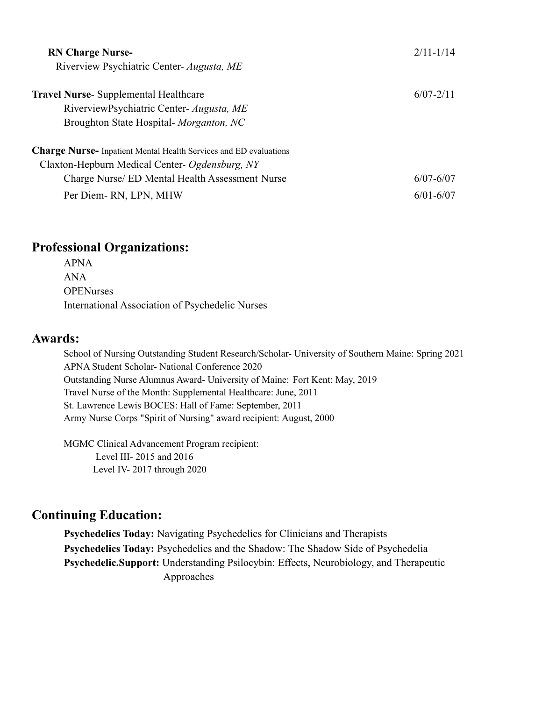| <b>RN Charge Nurse-</b><br>Riverview Psychiatric Center- Augusta, ME     | $2/11 - 1/14$ |
|--------------------------------------------------------------------------|---------------|
|                                                                          |               |
| <b>Travel Nurse-</b> Supplemental Healthcare                             | $6/07 - 2/11$ |
| RiverviewPsychiatric Center- Augusta, ME                                 |               |
| Broughton State Hospital- Morganton, NC                                  |               |
| <b>Charge Nurse-</b> Inpatient Mental Health Services and ED evaluations |               |
| Claxton-Hepburn Medical Center- Ogdensburg, NY                           |               |
| Charge Nurse/ ED Mental Health Assessment Nurse                          | $6/07 - 6/07$ |
| Per Diem-RN, LPN, MHW                                                    | $6/01 - 6/07$ |

## **Professional Organizations:**

APNA ANA **OPENurses** International Association of Psychedelic Nurses

### **Awards:**

School of Nursing Outstanding Student Research/Scholar- University of Southern Maine: Spring 2021 APNA Student Scholar- National Conference 2020 Outstanding Nurse Alumnus Award- University of Maine: Fort Kent: May, 2019 Travel Nurse of the Month: Supplemental Healthcare: June, 2011 St. Lawrence Lewis BOCES: Hall of Fame: September, 2011 Army Nurse Corps "Spirit of Nursing" award recipient: August, 2000

MGMC Clinical Advancement Program recipient: Level III- 2015 and 2016 Level IV- 2017 through 2020

## **Continuing Education:**

**Psychedelics Today:** Navigating Psychedelics for Clinicians and Therapists **Psychedelics Today:** Psychedelics and the Shadow: The Shadow Side of Psychedelia **Psychedelic.Support:** Understanding Psilocybin: Effects, Neurobiology, and Therapeutic Approaches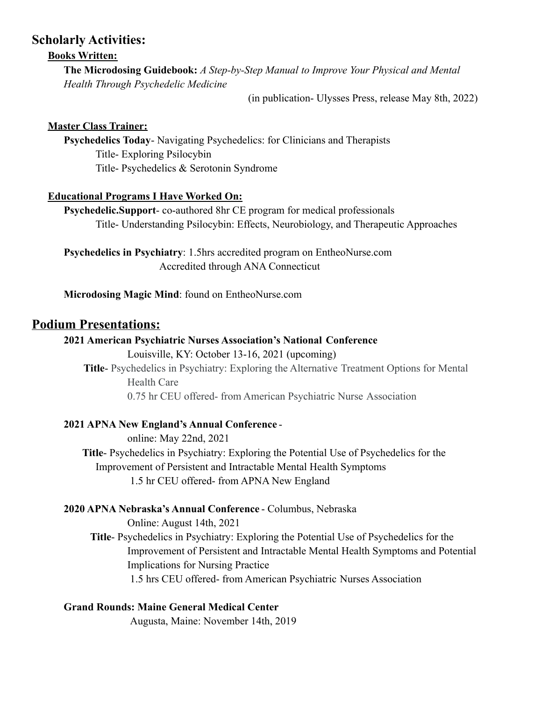### **Scholarly Activities:**

#### **Books Written:**

**The Microdosing Guidebook:** *A Step-by-Step Manual to Improve Your Physical and Mental Health Through Psychedelic Medicine*

(in publication- Ulysses Press, release May 8th, 2022)

#### **Master Class Trainer:**

**Psychedelics Today**- Navigating Psychedelics: for Clinicians and Therapists Title- Exploring Psilocybin Title- Psychedelics & Serotonin Syndrome

#### **Educational Programs I Have Worked On:**

**Psychedelic.Support**- co-authored 8hr CE program for medical professionals Title- Understanding Psilocybin: Effects, Neurobiology, and Therapeutic Approaches

**Psychedelics in Psychiatry**: 1.5hrs accredited program on EntheoNurse.com Accredited through ANA Connecticut

**Microdosing Magic Mind**: found on EntheoNurse.com

## **Podium Presentations:**

#### **2021 American Psychiatric Nurses Association's National Conference** Louisville, KY: October 13-16, 2021 (upcoming)

**Title**- Psychedelics in Psychiatry: Exploring the Alternative Treatment Options for Mental Health Care 0.75 hr CEU offered- from American Psychiatric Nurse Association

#### **2021 APNA New England's Annual Conference** -

online: May 22nd, 2021 **Title**- Psychedelics in Psychiatry: Exploring the Potential Use of Psychedelics for the Improvement of Persistent and Intractable Mental Health Symptoms 1.5 hr CEU offered- from APNA New England

#### **2020 APNA Nebraska's Annual Conference** - Columbus, Nebraska

Online: August 14th, 2021

**Title**- Psychedelics in Psychiatry: Exploring the Potential Use of Psychedelics for the Improvement of Persistent and Intractable Mental Health Symptoms and Potential Implications for Nursing Practice

1.5 hrs CEU offered- from American Psychiatric Nurses Association

**Grand Rounds: Maine General Medical Center**

Augusta, Maine: November 14th, 2019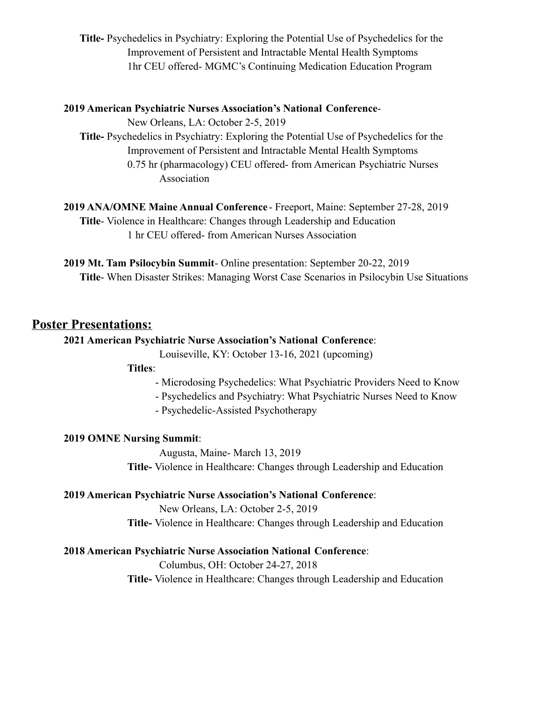**Title-** Psychedelics in Psychiatry: Exploring the Potential Use of Psychedelics for the Improvement of Persistent and Intractable Mental Health Symptoms 1hr CEU offered- MGMC's Continuing Medication Education Program

#### **2019 American Psychiatric Nurses Association's National Conference**-

New Orleans, LA: October 2-5, 2019

**Title-** Psychedelics in Psychiatry: Exploring the Potential Use of Psychedelics for the Improvement of Persistent and Intractable Mental Health Symptoms 0.75 hr (pharmacology) CEU offered- from American Psychiatric Nurses Association

**2019 ANA/OMNE Maine Annual Conference** - Freeport, Maine: September 27-28, 2019 **Title**- Violence in Healthcare: Changes through Leadership and Education 1 hr CEU offered- from American Nurses Association

**2019 Mt. Tam Psilocybin Summit**- Online presentation: September 20-22, 2019 **Title**- When Disaster Strikes: Managing Worst Case Scenarios in Psilocybin Use Situations

## **Poster Presentations:**

#### **2021 American Psychiatric Nurse Association's National Conference**:

Louiseville, KY: October 13-16, 2021 (upcoming)

#### **Titles**:

- Microdosing Psychedelics: What Psychiatric Providers Need to Know
- Psychedelics and Psychiatry: What Psychiatric Nurses Need to Know
- Psychedelic-Assisted Psychotherapy

#### **2019 OMNE Nursing Summit**:

Augusta, Maine- March 13, 2019

**Title-** Violence in Healthcare: Changes through Leadership and Education

#### **2019 American Psychiatric Nurse Association's National Conference**:

New Orleans, LA: October 2-5, 2019

**Title-** Violence in Healthcare: Changes through Leadership and Education

#### **2018 American Psychiatric Nurse Association National Conference**:

Columbus, OH: October 24-27, 2018 **Title-** Violence in Healthcare: Changes through Leadership and Education